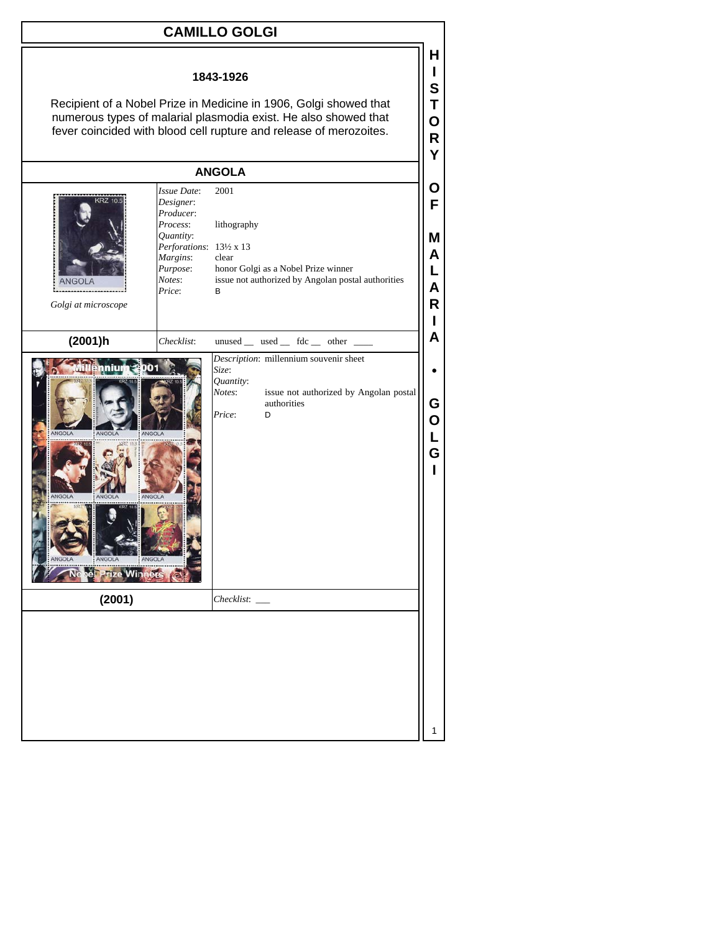## **CAMILLO GOLGI H I 1843-1926 S** Recipient of a Nobel Prize in Medicine in 1906, Golgi showed that **T** numerous types of malarial plasmodia exist. He also showed that **O** fever coincided with blood cell rupture and release of merozoites. **R Y ANGOLA O** *Issue Date*: 2001 *Designer*: **F** *Producer*: *Process*: lithography *Quantity*: **M** *Perforations*: 13½ x 13 **A** *Margins*: clear *Purpose*: honor Golgi as a Nobel Prize winner **L** *Notes*: issue not authorized by Angolan postal authorities **ANGOLA A** *Price*: B **R** *Golgi at microscope* **I A**  $(2001)$ h  $\big|$  *Checklist*: unused used fdc \_\_\_\_\_\_ other *Description*: millennium souvenir sheet miur *Size*: **•** *Quantity*: *Notes*: issue not authorized by Angolan postal authorities **G** *Price*: D **O L G I** rize Win **(2001)** *Checklist*: \_\_\_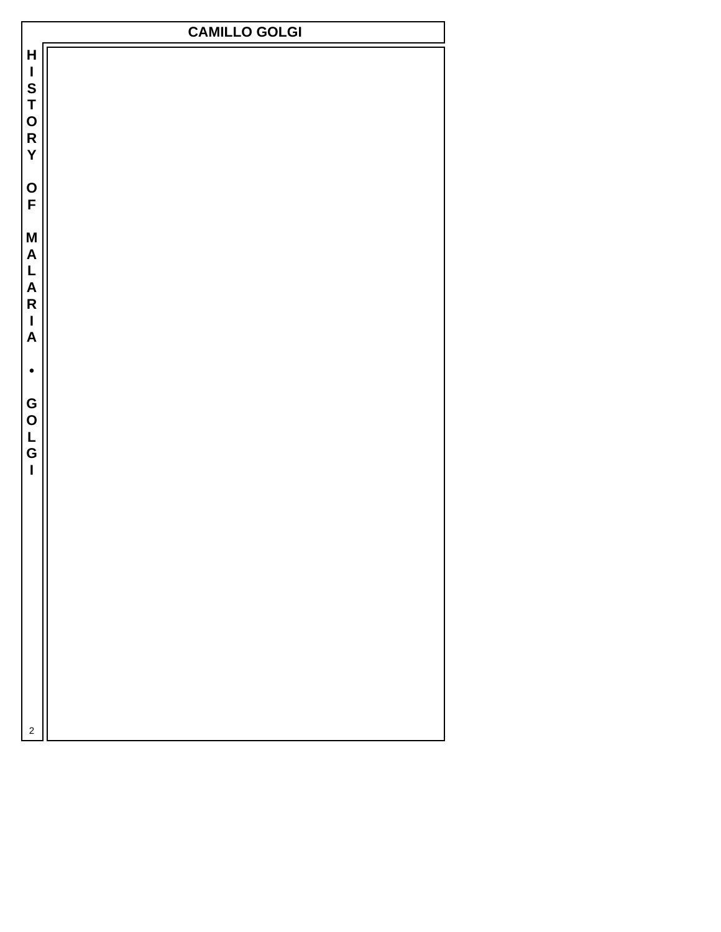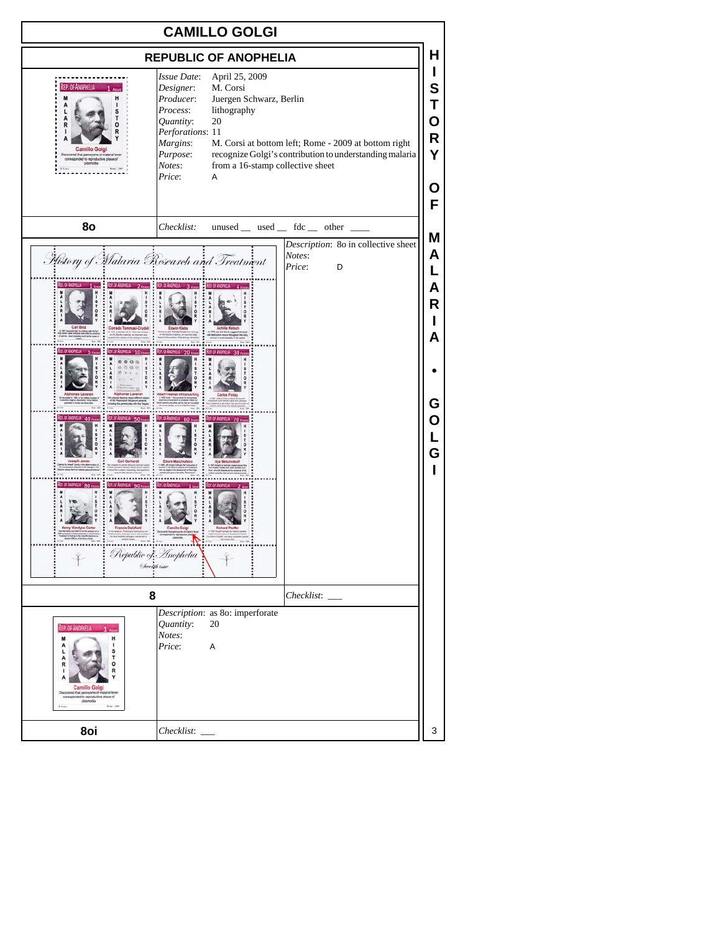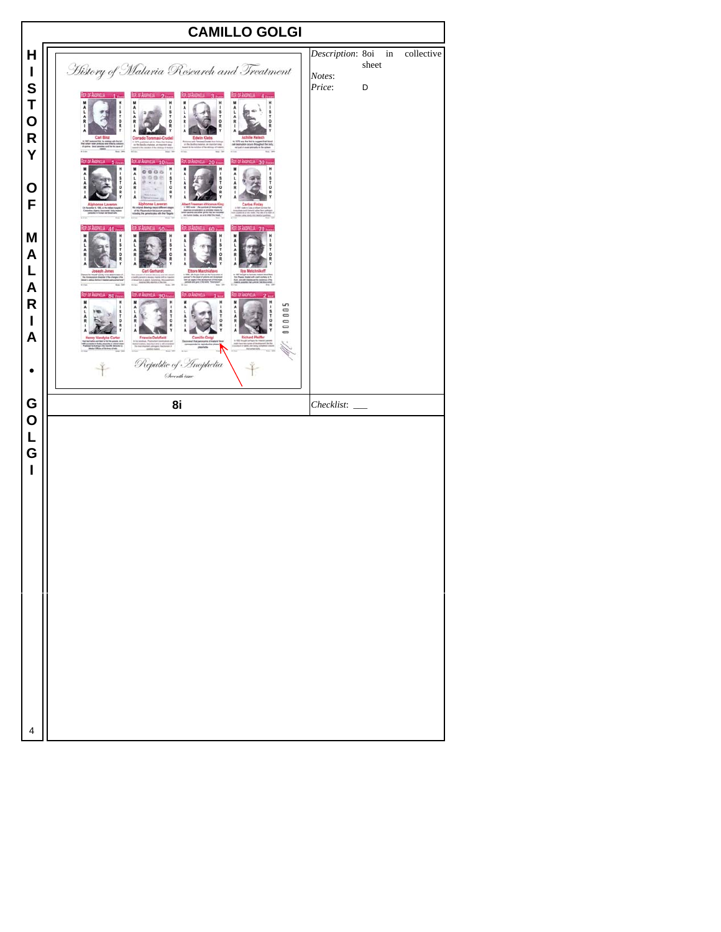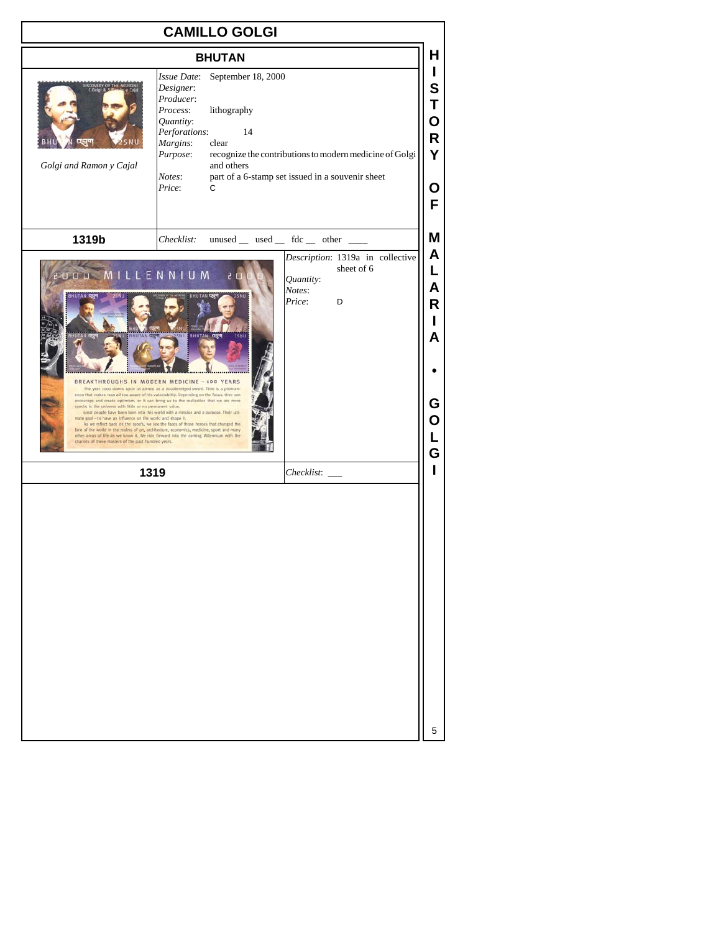|                                                                                                                                                                                                  | <b>CAMILLO GOLGI</b>                                                                                                                                                                                                                                                                                                                                                                                                                                                                                                                                                                                                                                                                                       |                                                                                                             |                                      |
|--------------------------------------------------------------------------------------------------------------------------------------------------------------------------------------------------|------------------------------------------------------------------------------------------------------------------------------------------------------------------------------------------------------------------------------------------------------------------------------------------------------------------------------------------------------------------------------------------------------------------------------------------------------------------------------------------------------------------------------------------------------------------------------------------------------------------------------------------------------------------------------------------------------------|-------------------------------------------------------------------------------------------------------------|--------------------------------------|
|                                                                                                                                                                                                  | <b>BHUTAN</b>                                                                                                                                                                                                                                                                                                                                                                                                                                                                                                                                                                                                                                                                                              |                                                                                                             | н                                    |
| Golgi and Ramon y Cajal                                                                                                                                                                          | Issue Date:<br>September 18, 2000<br>Designer:<br>Producer:<br>lithography<br>Process:<br>Quantity:<br>14<br>Perforations:<br>Margins:<br>clear<br>Purpose:<br>and others<br>Notes:<br>Price:<br>С                                                                                                                                                                                                                                                                                                                                                                                                                                                                                                         | recognize the contributions to modern medicine of Golgi<br>part of a 6-stamp set issued in a souvenir sheet | L<br>S<br>Т<br>О<br>R<br>Y<br>Ο<br>F |
| 1319b                                                                                                                                                                                            | Checklist:                                                                                                                                                                                                                                                                                                                                                                                                                                                                                                                                                                                                                                                                                                 | unused _ used _ fdc _ other _                                                                               | M                                    |
| O MILLENNIUM<br>specks in the universe with little or no permanent value.<br>mate goal - to have an influence on the world and shape it.<br>chariots of these masters of the past hundred years. | <b>BHUTAN</b><br>BREAKTHROUGHS IN MODERN MEDICINE - 100 YEARS<br>The year 2000 dawns upon us almost as a double-edged sword. Time is a phenom-<br>enon that makes man all too aware of his vulnerability. Depending on the focus, time can<br>encourage and create optimism, or it can bring us to the realization that we are mere<br>Great people have been born into this world with a mission and a purpose. Their ulti-<br>As we reflect back on the 1900's, we see the faces of those heroes that changed the<br>face of the world in the realms of art, architecture, economics, medicine, sport and many<br>other areas of life as we know it. We ride forward into the coming Millennium with the | Description: 1319a in collective<br>sheet of 6<br>Quantity:<br>Notes:<br>Price:<br>D                        | A<br>L<br>A<br>R<br>A<br>G<br>О<br>G |
| 1319                                                                                                                                                                                             |                                                                                                                                                                                                                                                                                                                                                                                                                                                                                                                                                                                                                                                                                                            | Checklist:                                                                                                  |                                      |
|                                                                                                                                                                                                  |                                                                                                                                                                                                                                                                                                                                                                                                                                                                                                                                                                                                                                                                                                            |                                                                                                             |                                      |
|                                                                                                                                                                                                  |                                                                                                                                                                                                                                                                                                                                                                                                                                                                                                                                                                                                                                                                                                            |                                                                                                             | 5                                    |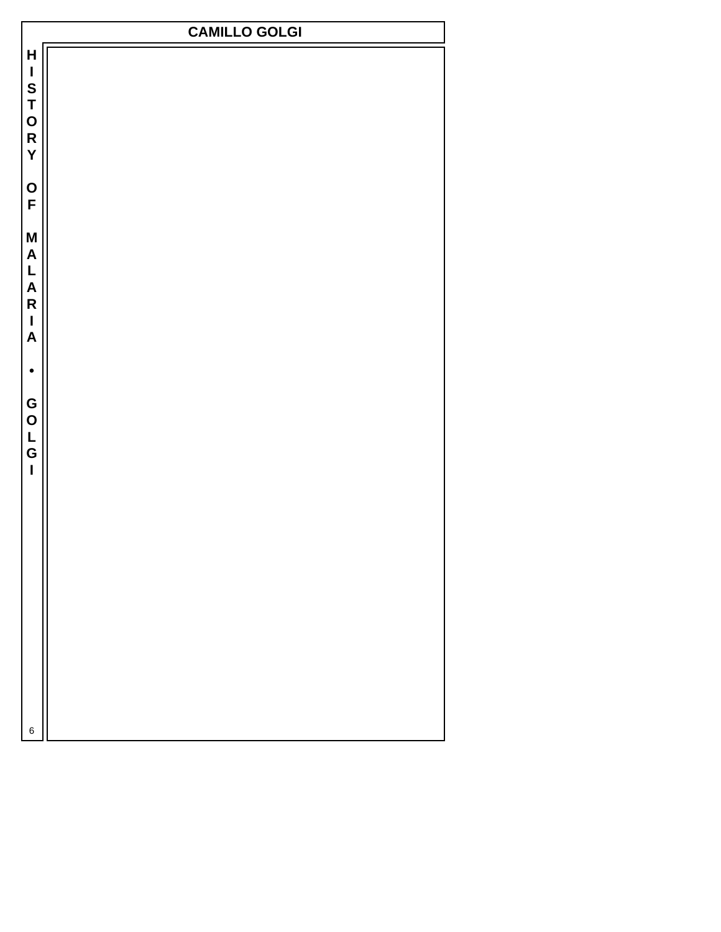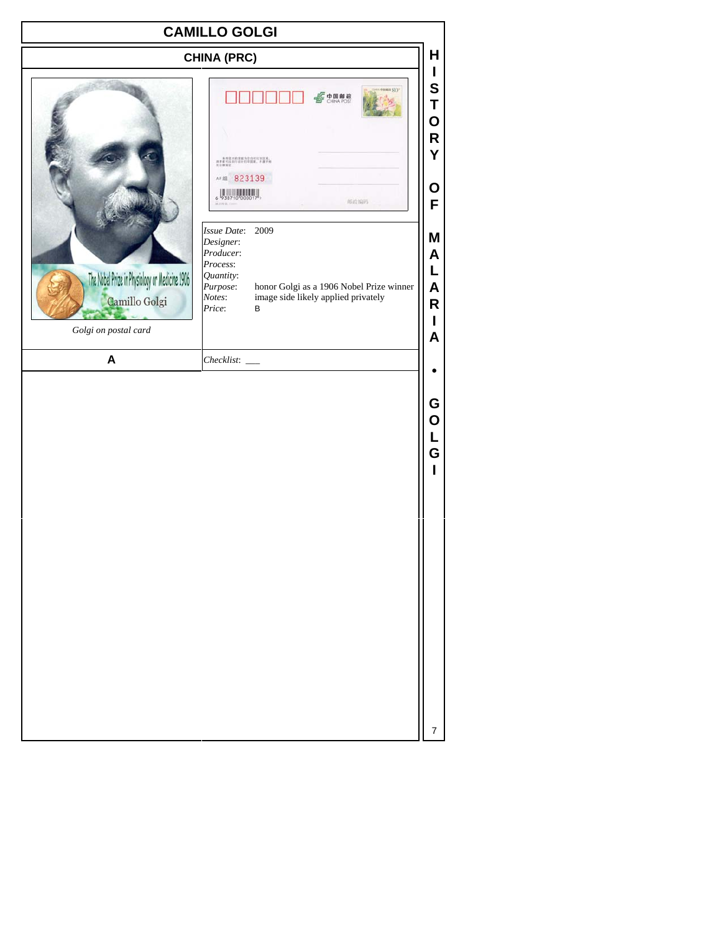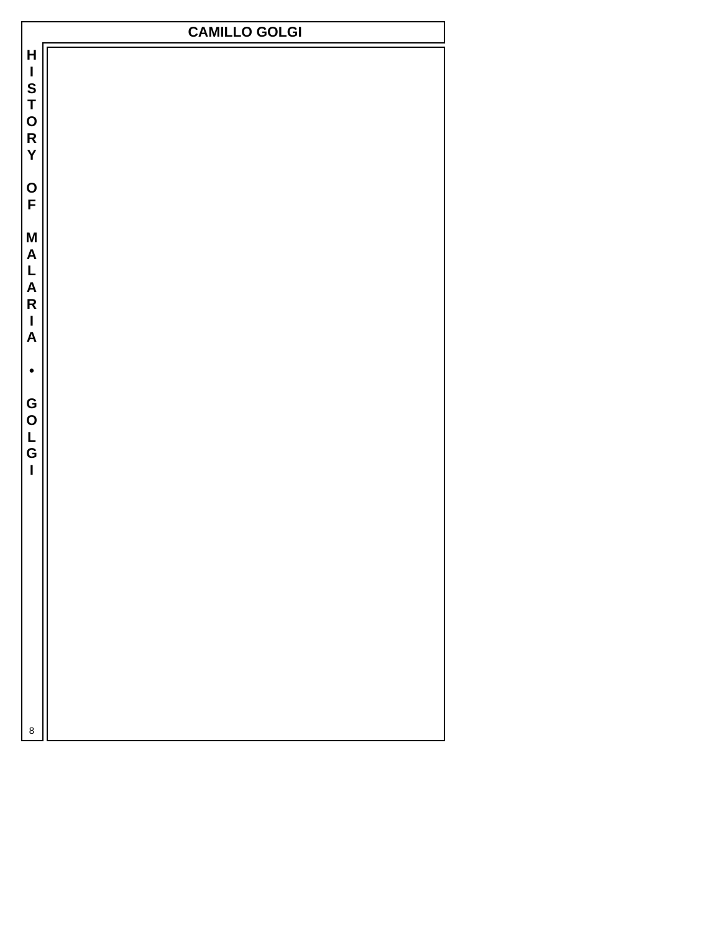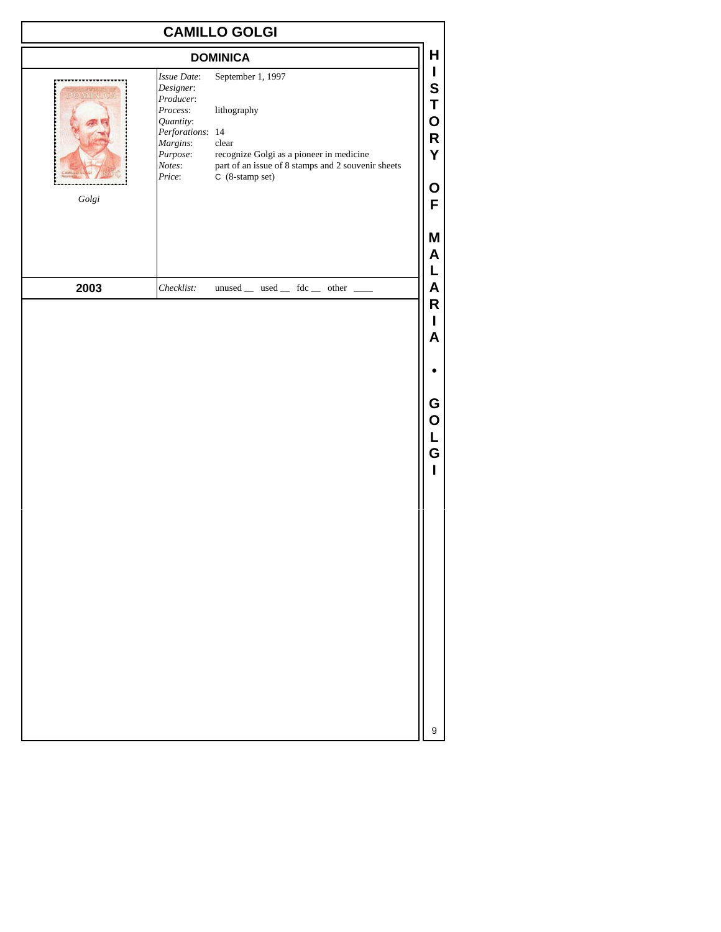|                           |                                                                                                                                | <b>CAMILLO GOLGI</b>                                                                                                                                                   |                                      |
|---------------------------|--------------------------------------------------------------------------------------------------------------------------------|------------------------------------------------------------------------------------------------------------------------------------------------------------------------|--------------------------------------|
|                           |                                                                                                                                | <b>DOMINICA</b>                                                                                                                                                        | Н                                    |
| <b>DOMINIC</b><br>$Golgi$ | Issue Date:<br>Designer:<br>Producer:<br>Process:<br>Quantity:<br>Perforations: 14<br>Margins:<br>Purpose:<br>Notes:<br>Price: | September 1, 1997<br>lithography<br>${\rm clear}$<br>recognize Golgi as a pioneer in medicine<br>part of an issue of 8 stamps and 2 souvenir sheets<br>C (8-stamp set) | L<br>S<br>Τ<br>O<br>R<br>Y<br>O<br>F |
| 2003                      | Checklist:                                                                                                                     | unused __ used __ fdc __ other __                                                                                                                                      | Μ<br>A<br>L<br>A                     |
|                           |                                                                                                                                |                                                                                                                                                                        | R<br>I<br>A                          |
|                           |                                                                                                                                |                                                                                                                                                                        |                                      |
|                           |                                                                                                                                |                                                                                                                                                                        | G<br>O<br>L<br>G<br>Ī                |
|                           |                                                                                                                                |                                                                                                                                                                        |                                      |
|                           |                                                                                                                                |                                                                                                                                                                        | 9                                    |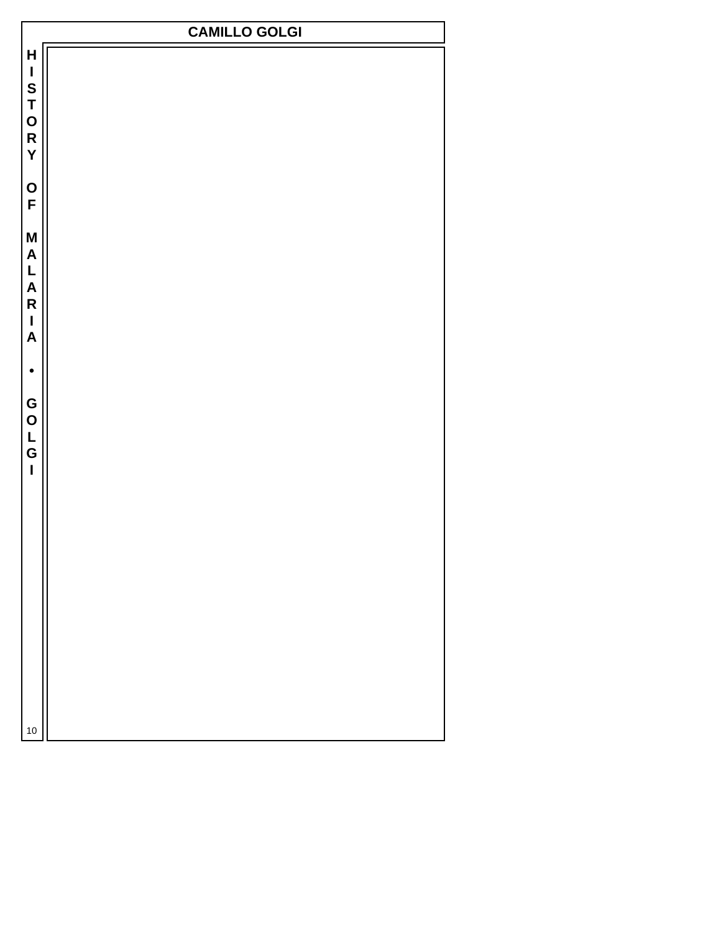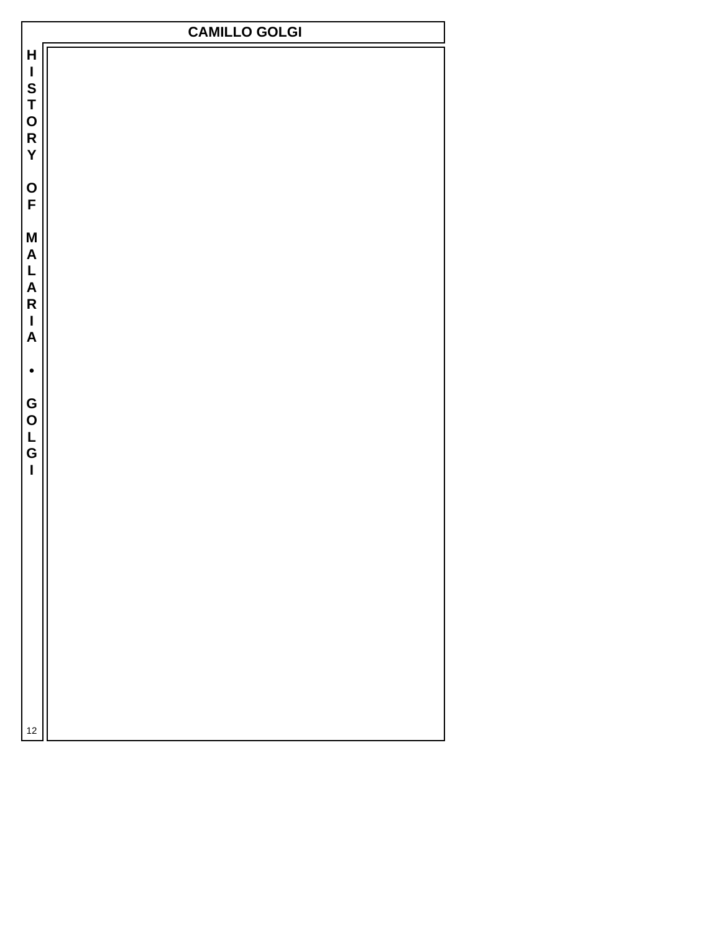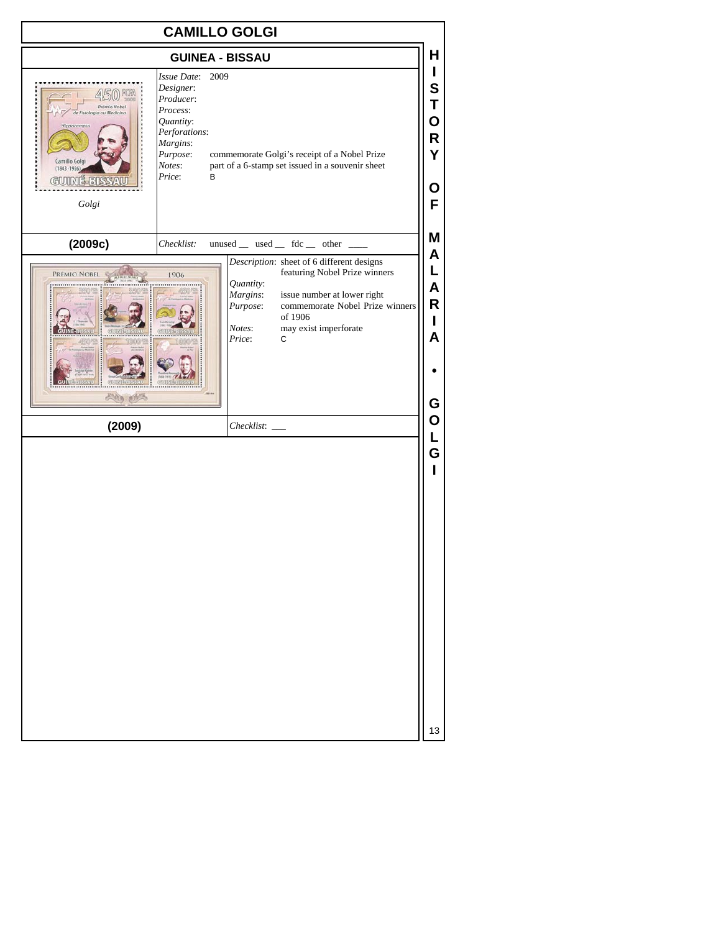|                                                                                                              | <b>CAMILLO GOLGI</b>                                                                                                                  |                                                       |                                                                                                                                                                                       |                                 |
|--------------------------------------------------------------------------------------------------------------|---------------------------------------------------------------------------------------------------------------------------------------|-------------------------------------------------------|---------------------------------------------------------------------------------------------------------------------------------------------------------------------------------------|---------------------------------|
|                                                                                                              | <b>GUINEA - BISSAU</b>                                                                                                                |                                                       |                                                                                                                                                                                       | Н                               |
| Prémio Nobel<br>de Fisiologia ou Medicina<br><b>Hippocampus</b><br>Camillo Golgi<br>$(1843 - 1926)$<br>Golgi | Issue Date: 2009<br>Designer:<br>Producer:<br>Process:<br>Quantity:<br>Perforations:<br>Margins:<br>Purpose:<br>Notes:<br>Price:<br>B |                                                       | commemorate Golgi's receipt of a Nobel Prize<br>part of a 6-stamp set issued in a souvenir sheet                                                                                      | S<br>Τ<br>O<br>R<br>Υ<br>O<br>F |
| (2009c)                                                                                                      | Checklist:                                                                                                                            |                                                       | $unused$ __ used __ fdc __ other __                                                                                                                                                   | Μ                               |
| PREMIO NOBEL<br>Alle elle                                                                                    | 1906                                                                                                                                  | Quantity:<br>Margins:<br>Purpose:<br>Notes:<br>Price: | Description: sheet of 6 different designs<br>featuring Nobel Prize winners<br>issue number at lower right<br>commemorate Nobel Prize winners<br>of 1906<br>may exist imperforate<br>С | Α<br>L<br>A<br>R<br>L<br>A<br>G |
| (2009)                                                                                                       |                                                                                                                                       |                                                       |                                                                                                                                                                                       | 0                               |
|                                                                                                              |                                                                                                                                       |                                                       |                                                                                                                                                                                       | G<br>13                         |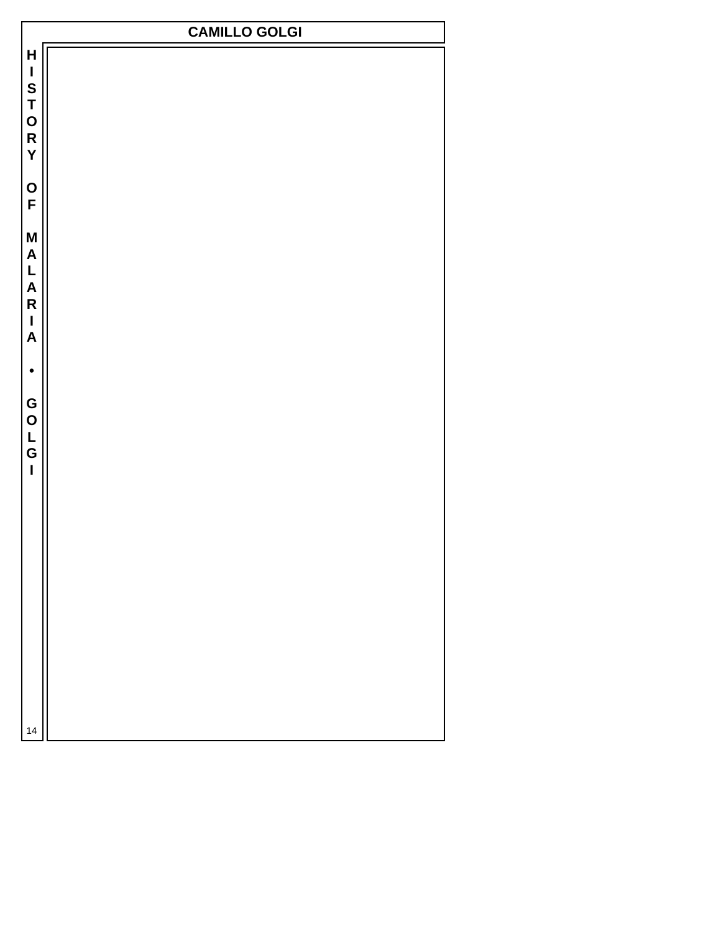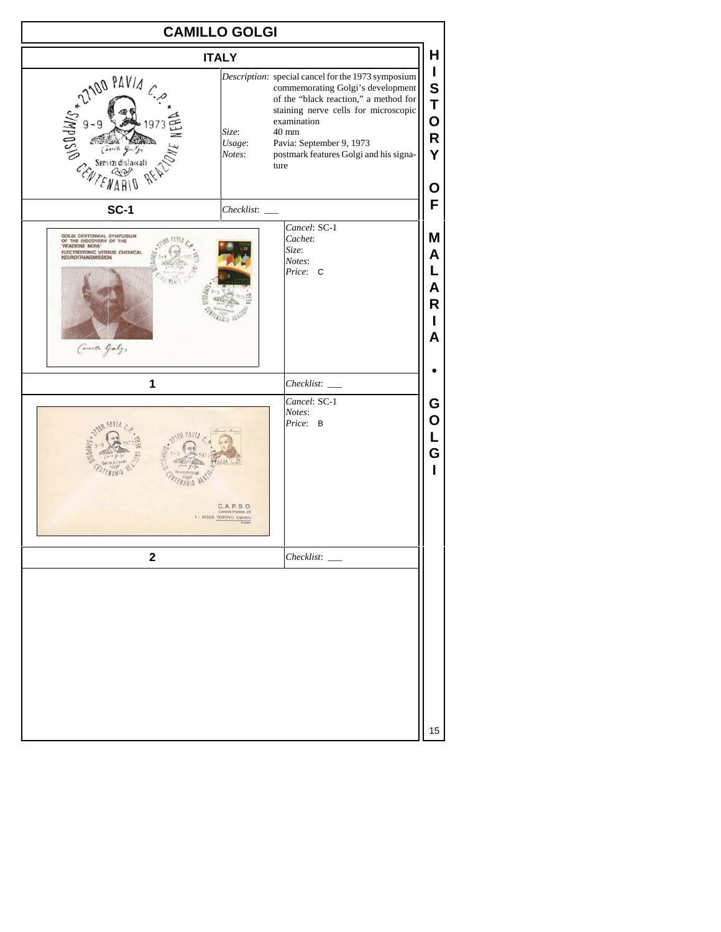| <b>CAMILLO GOLGI</b>                                                                                                                                  |                                                                                                                                                                                                                                                                                |
|-------------------------------------------------------------------------------------------------------------------------------------------------------|--------------------------------------------------------------------------------------------------------------------------------------------------------------------------------------------------------------------------------------------------------------------------------|
| <b>ITALY</b>                                                                                                                                          |                                                                                                                                                                                                                                                                                |
| ONSURVIATION PAVIA<br>Size:<br>Usage:<br>Notes:<br>$\mathcal{C}_{\mathcal{K}_{i}}$<br>NARIO                                                           | Description: special cancel for the 1973 symposium<br>commemorating Golgi's development<br>of the "black reaction," a method for<br>staining nerve cells for microscopic<br>examination<br>40 mm<br>Pavia: September 9, 1973<br>postmark features Golgi and his signa-<br>ture |
| <b>SC-1</b>                                                                                                                                           |                                                                                                                                                                                                                                                                                |
| GOLGI CENTENNIAL SYMPOSIUM<br>OF THE DISCOVERY OF THE<br>"REAZIONE NERA"<br>ELECTROTONIC VERSUS CHEMICAL<br><b>NEUROTRANSMISSION</b><br>Camille Galy, | Cancel: SC-1<br>Cachet:<br>Size:<br>Notes:<br>Price: C                                                                                                                                                                                                                         |
| 1                                                                                                                                                     | Checklist:                                                                                                                                                                                                                                                                     |
| C. A. P. S. O.<br>I - 10100 TORINO Centro                                                                                                             | Cancel: SC-1<br>Notes:<br>Price: B                                                                                                                                                                                                                                             |
| $\mathbf 2$                                                                                                                                           | $Checklist:$ $\_\_$                                                                                                                                                                                                                                                            |
|                                                                                                                                                       |                                                                                                                                                                                                                                                                                |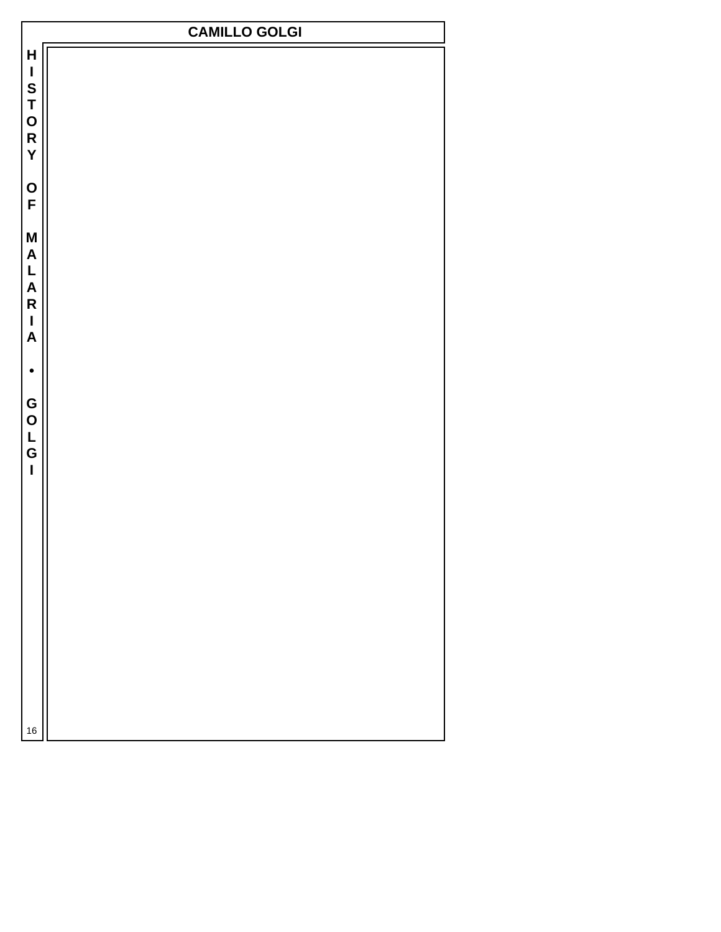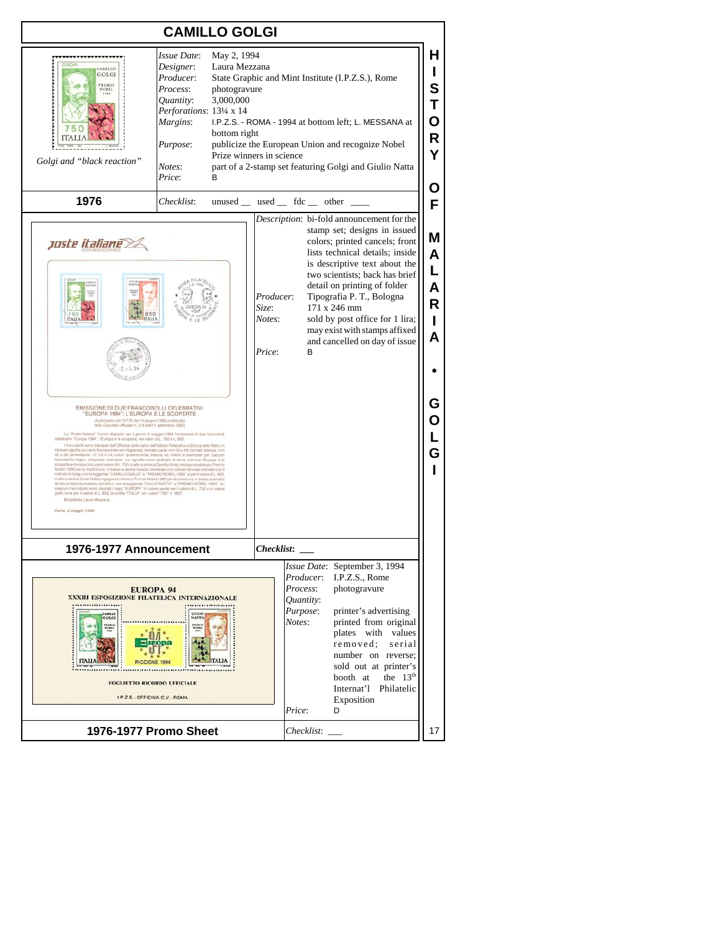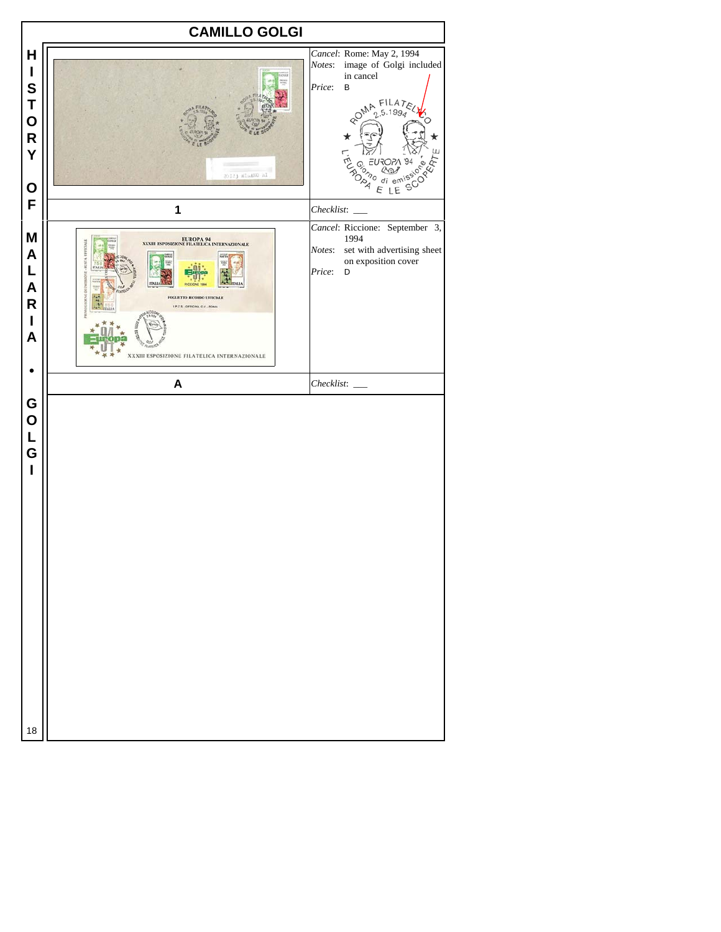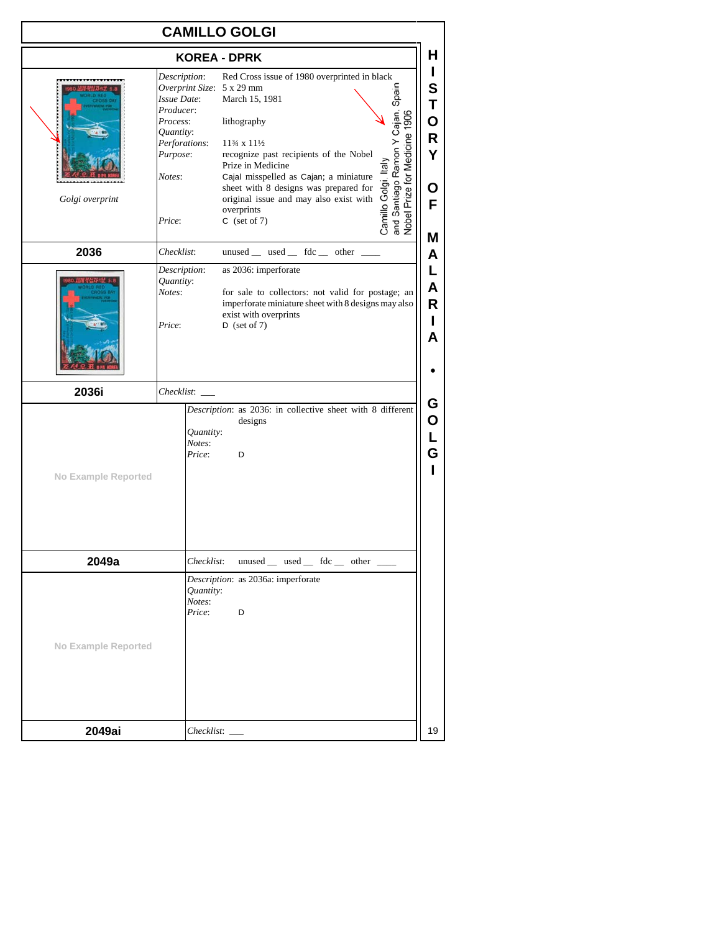|                            |                                                                                                                                                        |                               | <b>CAMILLO GOLGI</b>                                                                                                                                                                                                                                                                                                                                                                                                                             |                                           |
|----------------------------|--------------------------------------------------------------------------------------------------------------------------------------------------------|-------------------------------|--------------------------------------------------------------------------------------------------------------------------------------------------------------------------------------------------------------------------------------------------------------------------------------------------------------------------------------------------------------------------------------------------------------------------------------------------|-------------------------------------------|
|                            |                                                                                                                                                        | <b>KOREA - DPRK</b>           |                                                                                                                                                                                                                                                                                                                                                                                                                                                  | н                                         |
| Golgi overprint            | Description:<br>Overprint Size: 5 x 29 mm<br><b>Issue Date:</b><br>Producer:<br>Process:<br>Quantity:<br>Perforations:<br>Purpose:<br>Notes:<br>Price: |                               | Red Cross issue of 1980 overprinted in black<br>and Santiago Ramon Y Cajan. Spain<br>Nobel Prize for Medicine 1906<br>March 15, 1981<br>lithography<br>$11\frac{3}{4} \times 11\frac{1}{2}$<br>recognize past recipients of the Nobel<br>Camillo Golgi. Italy<br>Prize in Medicine<br>Cajal misspelled as Cajan; a miniature<br>sheet with 8 designs was prepared for<br>original issue and may also exist with<br>overprints<br>C (set of $7$ ) | L<br>S<br>Τ<br>О<br>R<br>Υ<br>O<br>F<br>Μ |
| 2036                       | Checklist:                                                                                                                                             |                               | unused __ used __ fdc __ other __                                                                                                                                                                                                                                                                                                                                                                                                                | A                                         |
|                            | Description:<br>Quantity:<br>Notes:<br>Price:                                                                                                          |                               | as 2036: imperforate<br>for sale to collectors: not valid for postage; an<br>imperforate miniature sheet with 8 designs may also<br>exist with overprints<br>$D$ (set of 7)                                                                                                                                                                                                                                                                      | L<br>Α<br>R<br>Н<br>А                     |
| 2036i                      | Checklist:                                                                                                                                             |                               |                                                                                                                                                                                                                                                                                                                                                                                                                                                  |                                           |
| <b>No Example Reported</b> |                                                                                                                                                        | Quantity:<br>Notes:<br>Price: | Description: as 2036: in collective sheet with 8 different<br>designs<br>D                                                                                                                                                                                                                                                                                                                                                                       | G<br>Ο<br>L<br>G                          |
| 2049a                      |                                                                                                                                                        | Checklist:                    | unused __ used __ fdc __ other __                                                                                                                                                                                                                                                                                                                                                                                                                |                                           |
| No Example Reported        |                                                                                                                                                        | Quantity:<br>Notes:<br>Price: | Description: as 2036a: imperforate<br>D                                                                                                                                                                                                                                                                                                                                                                                                          |                                           |
| 2049ai                     |                                                                                                                                                        | $Checklist:$ $\_\_$           |                                                                                                                                                                                                                                                                                                                                                                                                                                                  | 19                                        |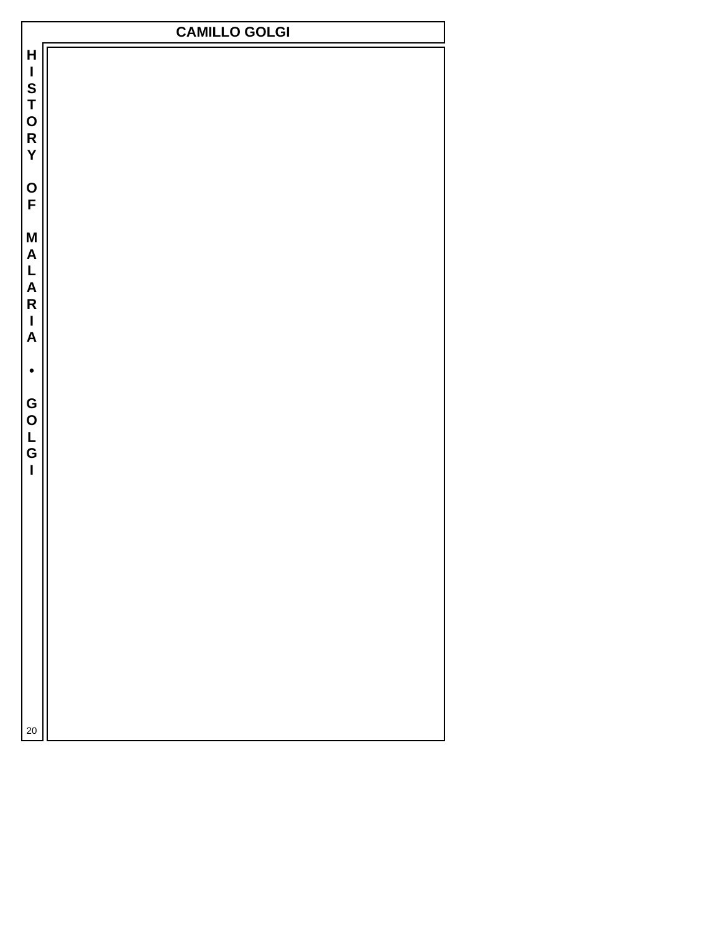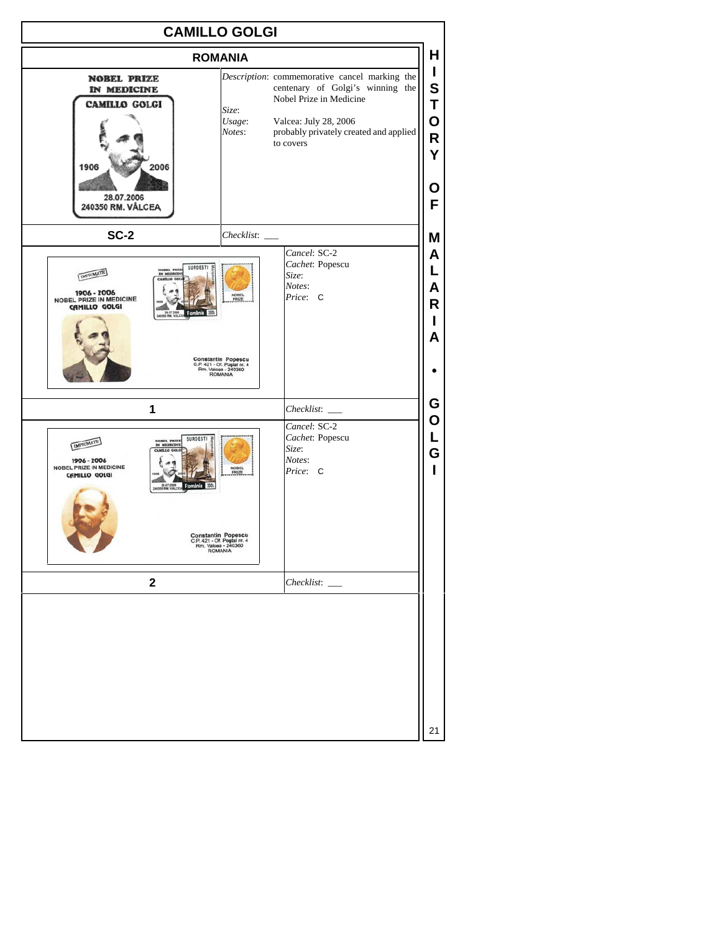|                                                                                                                                                                                                                                                  | <b>CAMILLO GOLGI</b>                                                                                                                                                                                                                                                        |
|--------------------------------------------------------------------------------------------------------------------------------------------------------------------------------------------------------------------------------------------------|-----------------------------------------------------------------------------------------------------------------------------------------------------------------------------------------------------------------------------------------------------------------------------|
|                                                                                                                                                                                                                                                  | Н<br><b>ROMANIA</b>                                                                                                                                                                                                                                                         |
| <b>NOBEL PRIZE</b><br>IN MEDICINE<br>CAMILLO GOLGI<br>1906<br>2006<br>28.07.2006<br>240350 RM. VÅLCEA                                                                                                                                            | L<br>Description: commemorative cancel marking the<br>$\mathbf S$<br>centenary of Golgi's winning the<br>Nobel Prize in Medicine<br>T<br>Size:<br>O<br>Usage:<br>Valcea: July 28, 2006<br>probably privately created and applied<br>Notes:<br>R<br>to covers<br>Υ<br>O<br>F |
| $SC-2$                                                                                                                                                                                                                                           | Checklist:<br>M                                                                                                                                                                                                                                                             |
| SURDES<br><b>NOBIL PRIZE</b><br><b>IMPRIMATE</b><br>IN MEDICINI<br>1906 - 2006<br><b>NOBEL PRIZE IN MEDICINE</b><br><b>CAMILLO GOLGI</b>                                                                                                         | Cancel: SC-2<br>Α<br>Cachet: Popescu<br>L<br>Size:<br>Notes:<br>A<br><b>NOBEL</b><br>Price: C<br>PRIZE<br>R<br>A<br>Constantin Popescu<br>C.P. 421 - Of. Postal nr. 4<br>Rm. Valcea - 240360<br>ROMANIA                                                                     |
| 1                                                                                                                                                                                                                                                | G<br>Checklist:                                                                                                                                                                                                                                                             |
| SURDEST<br>NOBEL PREE<br>IN MEDICINI<br><b>IMPRIMATE</b><br>1906 - 2006<br>NOBEL PRIZE IN MEDICINE<br><b>CAWILLO GOLGI</b><br>28.67.2006<br> 0 RM. VÁLCEJ<br>Constantin Popescu<br>C.P. 421 - Of. Postal nr. 4<br>Rm. Valcea - 240360<br>ROMANIA | O<br>Cancel: SC-2<br>L<br>Cachet: Popescu<br>Size:<br>G<br>Notes:<br><b>NOBEL</b><br>Price: C<br><b>PRIZE</b>                                                                                                                                                               |
| $\mathbf 2$                                                                                                                                                                                                                                      | $Checklist:$ $\_\_$                                                                                                                                                                                                                                                         |
|                                                                                                                                                                                                                                                  | 21                                                                                                                                                                                                                                                                          |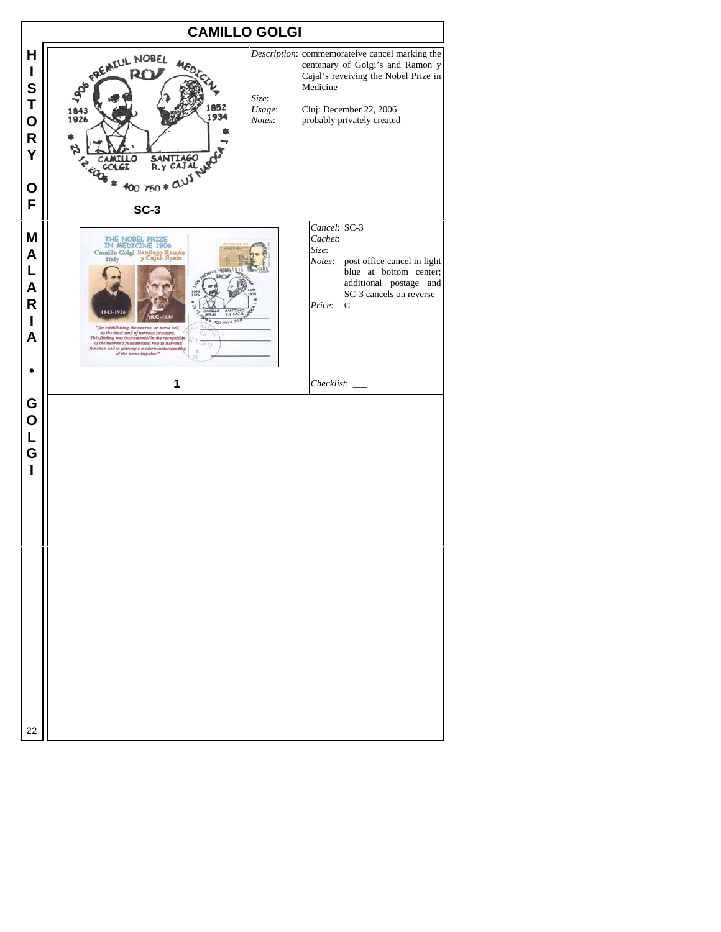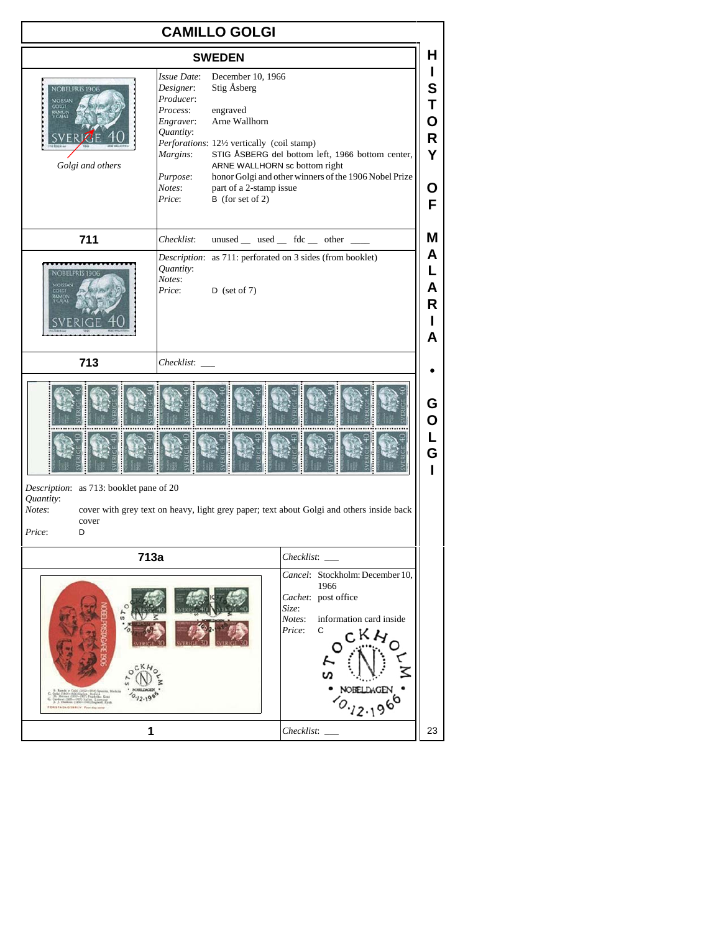| <b>CAMILLO GOLGI</b>                                                                               |                                                                                                                                                                                                                                          |                                                                                                                                                                                            |                                                     |
|----------------------------------------------------------------------------------------------------|------------------------------------------------------------------------------------------------------------------------------------------------------------------------------------------------------------------------------------------|--------------------------------------------------------------------------------------------------------------------------------------------------------------------------------------------|-----------------------------------------------------|
|                                                                                                    | <b>SWEDEN</b>                                                                                                                                                                                                                            |                                                                                                                                                                                            | н                                                   |
| NOBELPRIS 1906<br><b>MOISSAN</b><br>EQLG<br>Golgi and others                                       | Issue Date:<br>Stig Åsberg<br>Designer:<br>Producer:<br>Process:<br>engraved<br>Arne Wallhorn<br>Engraver:<br>Quantity:<br>Perforations: 121/2 vertically (coil stamp)<br>Margins:<br>Purpose:<br>Notes:<br>$B$ (for set of 2)<br>Price: | December 10, 1966<br>STIG ÅSBERG del bottom left, 1966 bottom center,<br>ARNE WALLHORN sc bottom right<br>honor Golgi and other winners of the 1906 Nobel Prize<br>part of a 2-stamp issue | п<br>S<br>Т<br>O<br>R<br>Y<br>O<br>F                |
| 711                                                                                                | Checklist:                                                                                                                                                                                                                               | unused _ used _ fdc _ other _                                                                                                                                                              | м                                                   |
| NOBELPRIS 1906<br>MOISSAN<br>713<br>Description: as 713: booklet pane of 20<br>Ouantity:<br>Notes: | Quantity:<br>Notes:<br>$D$ (set of 7)<br>Price:<br>Checklist:                                                                                                                                                                            | Description: as 711: perforated on 3 sides (from booklet)<br>cover with grey text on heavy, light grey paper; text about Golgi and others inside back                                      | A<br>L<br>A<br>R<br>н<br>A<br>G<br>O<br>L<br>G<br>ı |
| cover<br>Price:<br>D                                                                               |                                                                                                                                                                                                                                          |                                                                                                                                                                                            |                                                     |
| 713a                                                                                               |                                                                                                                                                                                                                                          | Checklist:                                                                                                                                                                                 |                                                     |
|                                                                                                    | Cancel: Stockholm: December 10,<br>1966<br>Cachet: post office<br>Size:<br>Notes:<br>information card inside<br>Price:<br>С<br>c.K A<br>NOBELDAGE                                                                                        |                                                                                                                                                                                            |                                                     |
| 1                                                                                                  |                                                                                                                                                                                                                                          | Checklist:                                                                                                                                                                                 | 23                                                  |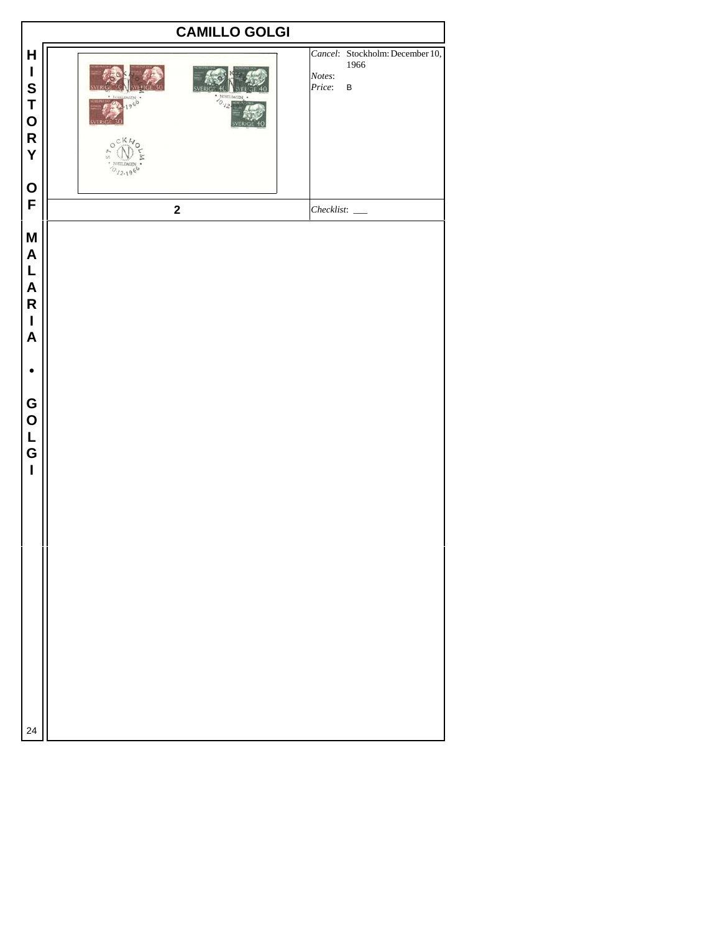|                                                                                                                                                                                                                                                                                                                                                                                                                                       | <b>CAMILLO GOLGI</b>    |                                                                        |
|---------------------------------------------------------------------------------------------------------------------------------------------------------------------------------------------------------------------------------------------------------------------------------------------------------------------------------------------------------------------------------------------------------------------------------------|-------------------------|------------------------------------------------------------------------|
| $\mathsf{H}$<br><b>ISTORY</b>                                                                                                                                                                                                                                                                                                                                                                                                         | Κλ                      | Cancel: Stockholm: December 10,<br>1966<br>Notes:<br>Price:<br>$\sf B$ |
| O<br>F                                                                                                                                                                                                                                                                                                                                                                                                                                | $\overline{\mathbf{2}}$ | $Checklist:$ $\_\_$                                                    |
| <b>MALAR</b><br>$\begin{array}{c} \rule{0pt}{2.5ex} \rule{0pt}{2.5ex} \rule{0pt}{2.5ex} \rule{0pt}{2.5ex} \rule{0pt}{2.5ex} \rule{0pt}{2.5ex} \rule{0pt}{2.5ex} \rule{0pt}{2.5ex} \rule{0pt}{2.5ex} \rule{0pt}{2.5ex} \rule{0pt}{2.5ex} \rule{0pt}{2.5ex} \rule{0pt}{2.5ex} \rule{0pt}{2.5ex} \rule{0pt}{2.5ex} \rule{0pt}{2.5ex} \rule{0pt}{2.5ex} \rule{0pt}{2.5ex} \rule{0pt}{2.5ex} \rule{0$<br>$\mathbf{A}$<br>$\bullet$<br>GOLG |                         |                                                                        |
| $\overline{1}$<br>24                                                                                                                                                                                                                                                                                                                                                                                                                  |                         |                                                                        |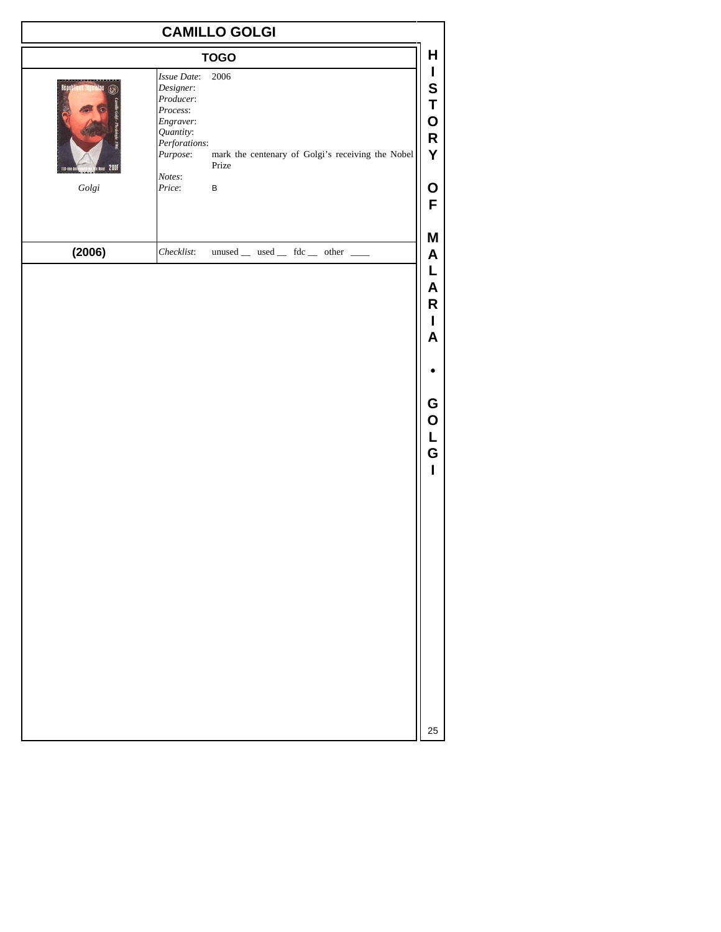|         |                                                                                                          | <b>CAMILLO GOLGI</b>                                               |                                                                   |
|---------|----------------------------------------------------------------------------------------------------------|--------------------------------------------------------------------|-------------------------------------------------------------------|
|         |                                                                                                          | <b>TOGO</b>                                                        | Н                                                                 |
| 200     | Issue Date:<br>Designer:<br>Producer:<br>Process:<br>Engraver:<br>Quantity:<br>Perforations:<br>Purpose: | 2006<br>mark the centenary of Golgi's receiving the Nobel<br>Prize | $\mathbf{I}$<br>S<br>T<br>$\mathbf{o}$<br>$\mathsf{R}% _{T}$<br>Y |
| $Golgi$ | Notes:<br>Price:                                                                                         | $\sf B$                                                            | Ο<br>F                                                            |
| (2006)  | Checklist:                                                                                               | unused $\_\$ used $\_\$ fdc $\_\$ other $\_\_$                     | M<br>A                                                            |
|         |                                                                                                          |                                                                    | L<br>A<br>R<br>L<br>A                                             |
|         |                                                                                                          |                                                                    |                                                                   |
|         |                                                                                                          |                                                                    | G<br>$\mathbf O$<br>L<br>G<br>Ī                                   |
|         |                                                                                                          |                                                                    | 25                                                                |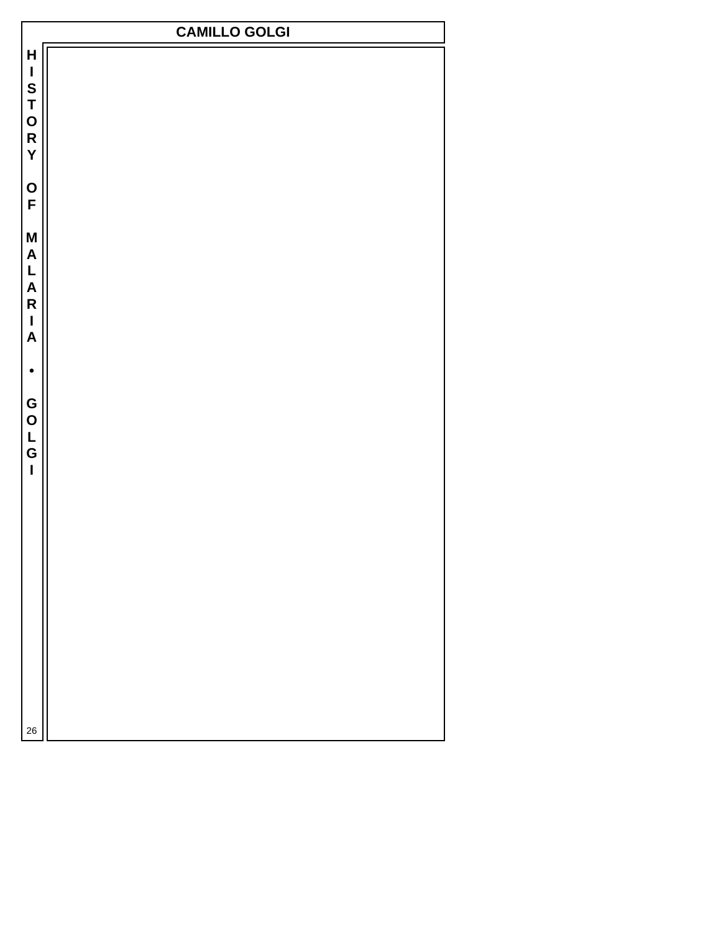![](_page_25_Figure_0.jpeg)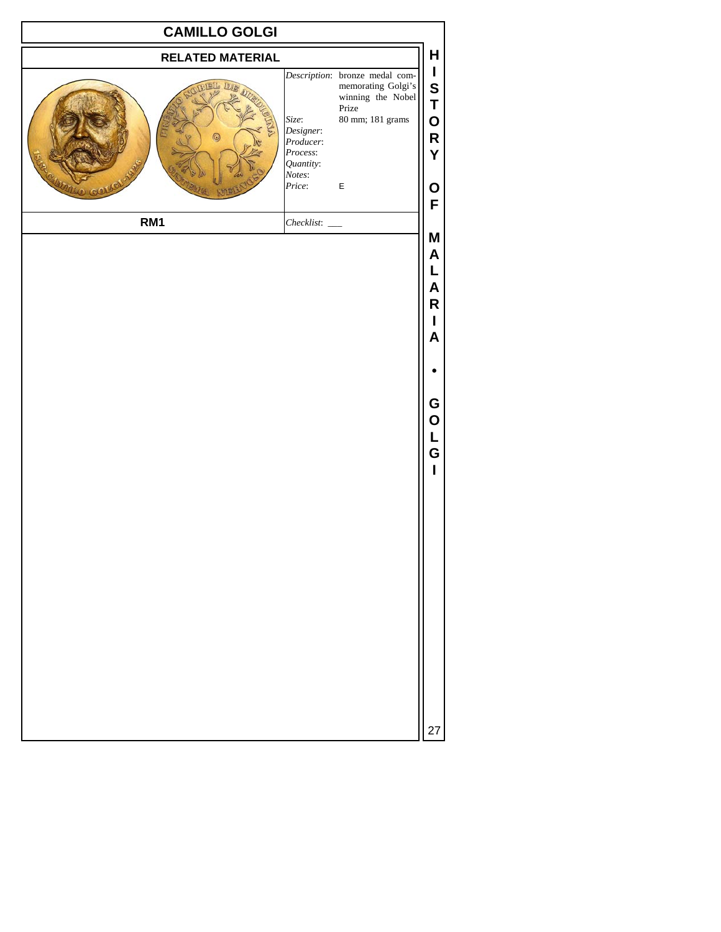| <b>CAMILLO GOLGI</b>    |                                                                              |                                                                                                                       |                                                     |  |
|-------------------------|------------------------------------------------------------------------------|-----------------------------------------------------------------------------------------------------------------------|-----------------------------------------------------|--|
| <b>RELATED MATERIAL</b> |                                                                              |                                                                                                                       | Н                                                   |  |
| $_{\odot}$              | Size:<br>Designer:<br>Producer:<br>Process:<br>Quantity:<br>Notes:<br>Price: | Description: bronze medal com-<br>memorating Golgi's<br>winning the Nobel<br>Prize<br>80 mm; 181 grams<br>$\mathsf E$ | L<br>S<br>T<br>O<br>R<br>Y<br>O                     |  |
| RM1                     |                                                                              |                                                                                                                       | F                                                   |  |
|                         |                                                                              |                                                                                                                       | A<br>L<br>A<br>R<br>L<br>A<br>G<br>O<br>L<br>G<br>L |  |
|                         |                                                                              |                                                                                                                       | 27                                                  |  |